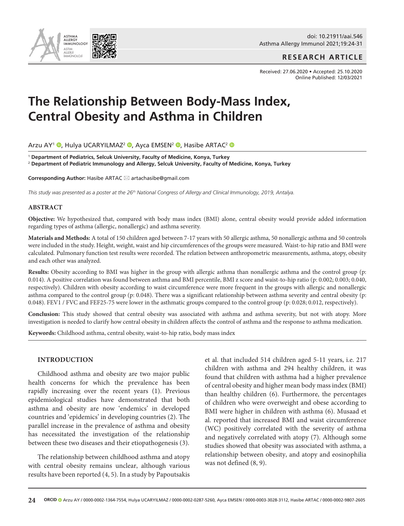doi: 10.21911/aai.546 Asthma Allergy Immunol 2021;19:24-31

**RESEARCH ARTICLE**

Received: 27.06.2020 • Accepted: 25.10.2020 Online Published: 12/03/2021

# **The Relationship Between Body-Mass Index, Central Obesity and Asthma in Children**

Arzu AY<sup>1</sup> [,](http://orcid.org/0000-0002-1364-7554) Hulya UCARYILMAZ<sup>2</sup> , Ayca EMSEN<sup>2</sup> , Hasibe ARTAC<sup>2</sup> **O** 

<sup>1</sup> **Department of Pediatrics, Selcuk University, Faculty of Medicine, Konya, Turkey** <sup>2</sup> **Department of Pediatric Immunology and Allergy, Selcuk University, Faculty of Medicine, Konya, Turkey**

**Corresponding Author:** Hasibe ARTAC ⊠ artachasibe@gmail.com

*This study was presented as a poster at the 26th National Congress of Allergy and Clinical Immunology, 2019, Antalya.* 

#### **ABSTRACT**

**Objective:** We hypothesized that, compared with body mass index (BMI) alone, central obesity would provide added information regarding types of asthma (allergic, nonallergic) and asthma severity.

**Materials and Methods:** A total of 150 children aged between 7-17 years with 50 allergic asthma, 50 nonallergic asthma and 50 controls were included in the study. Height, weight, waist and hip circumferences of the groups were measured. Waist-to-hip ratio and BMI were calculated. Pulmonary function test results were recorded. The relation between anthropometric measurements, asthma, atopy, obesity and each other was analyzed.

**Results:** Obesity according to BMI was higher in the group with allergic asthma than nonallergic asthma and the control group (p: 0.014). A positive correlation was found between asthma and BMI percentile, BMI z score and waist-to-hip ratio (p: 0.002; 0.003; 0.040, respectively). Children with obesity according to waist circumference were more frequent in the groups with allergic and nonallergic asthma compared to the control group (p: 0.048). There was a significant relationship between asthma severity and central obesity (p: 0.048). FEV1 / FVC and FEF25-75 were lower in the asthmatic groups compared to the control group (p: 0.028; 0.012, respectively).

**Conclusion:** This study showed that central obesity was associated with asthma and asthma severity, but not with atopy. More investigation is needed to clarify how central obesity in children affects the control of asthma and the response to asthma medication.

**Keywords:** Childhood asthma, central obesity, waist-to-hip ratio, body mass index

#### **INTRODUCTION**

Childhood asthma and obesity are two major public health concerns for which the prevalence has been rapidly increasing over the recent years (1). Previous epidemiological studies have demonstrated that both asthma and obesity are now 'endemics' in developed countries and 'epidemics' in developing countries (2). The parallel increase in the prevalence of asthma and obesity has necessitated the investigation of the relationship between these two diseases and their etiopathogenesis (3).

The relationship between childhood asthma and atopy with central obesity remains unclear, although various results have been reported (4, 5). In a study by Papoutsakis

et al. that included 514 children aged 5-11 years, i.e. 217 children with asthma and 294 healthy children, it was found that children with asthma had a higher prevalence of central obesity and higher mean body mass index (BMI) than healthy children (6). Furthermore, the percentages of children who were overweight and obese according to BMI were higher in children with asthma (6). Musaad et al. reported that increased BMI and waist circumference (WC) positively correlated with the severity of asthma and negatively correlated with atopy (7). Although some studies showed that obesity was associated with asthma, a relationship between obesity, and atopy and eosinophilia was not defined (8, 9).

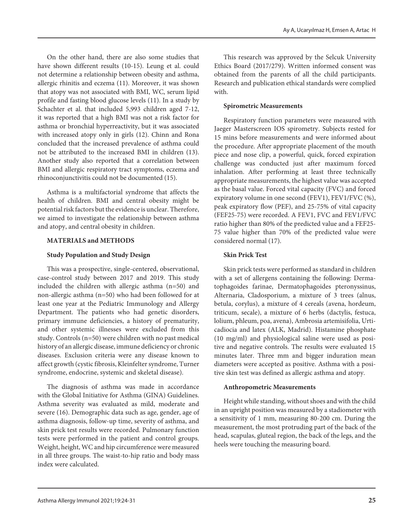On the other hand, there are also some studies that have shown different results (10-15). Leung et al. could not determine a relationship between obesity and asthma, allergic rhinitis and eczema (11). Moreover, it was shown that atopy was not associated with BMI, WC, serum lipid profile and fasting blood glucose levels (11). In a study by Schachter et al. that included 5,993 children aged 7-12, it was reported that a high BMI was not a risk factor for asthma or bronchial hyperreactivity, but it was associated with increased atopy only in girls (12). Chinn and Rona concluded that the increased prevalence of asthma could not be attributed to the increased BMI in children (13). Another study also reported that a correlation between BMI and allergic respiratory tract symptoms, eczema and rhinoconjunctivitis could not be documented (15).

Asthma is a multifactorial syndrome that affects the health of children. BMI and central obesity might be potential risk factors but the evidence is unclear. Therefore, we aimed to investigate the relationship between asthma and atopy, and central obesity in children.

# **MATERIALS and METHODS**

# **Study Population and Study Design**

This was a prospective, single-centered, observational, case-control study between 2017 and 2019. This study included the children with allergic asthma (n=50) and non-allergic asthma (n=50) who had been followed for at least one year at the Pediatric Immunology and Allergy Department. The patients who had genetic disorders, primary immune deficiencies, a history of prematurity, and other systemic illnesses were excluded from this study. Controls (n=50) were children with no past medical history of an allergic disease, immune deficiency or chronic diseases. Exclusion criteria were any disease known to affect growth (cystic fibrosis, Kleinfelter syndrome, Turner syndrome, endocrine, systemic and skeletal disease).

The diagnosis of asthma was made in accordance with the Global Initiative for Asthma (GINA) Guidelines. Asthma severity was evaluated as mild, moderate and severe (16). Demographic data such as age, gender, age of asthma diagnosis, follow-up time, severity of asthma, and skin prick test results were recorded. Pulmonary function tests were performed in the patient and control groups. Weight, height, WC and hip circumference were measured in all three groups. The waist-to-hip ratio and body mass index were calculated.

This research was approved by the Selcuk University Ethics Board (2017/279). Written informed consent was obtained from the parents of all the child participants. Research and publication ethical standards were complied with.

# **Spirometric Measurements**

Respiratory function parameters were measured with Jaeger Masterscreen IOS spirometry. Subjects rested for 15 mins before measurements and were informed about the procedure. After appropriate placement of the mouth piece and nose clip, a powerful, quick, forced expiration challenge was conducted just after maximum forced inhalation. After performing at least three technically appropriate measurements, the highest value was accepted as the basal value. Forced vital capacity (FVC) and forced expiratory volume in one second (FEV1), FEV1/FVC (%), peak expiratory flow (PEF), and 25-75% of vital capacity (FEF25-75) were recorded. A FEV1, FVC and FEV1/FVC ratio higher than 80% of the predicted value and a FEF25- 75 value higher than 70% of the predicted value were considered normal (17).

# **Skin Prick Test**

Skin prick tests were performed as standard in children with a set of allergens containing the following: Dermatophagoides farinae, Dermatophagoides pteronyssinus, Alternaria, Cladosporium, a mixture of 3 trees (alnus, betula, corylus), a mixture of 4 cereals (avena, hordeum, triticum, secale), a mixture of 6 herbs (dactylis, festuca, lolium, phleum, poa, avena), Ambrosia artemisifolia, Urticadiocia and latex (ALK, Madrid). Histamine phosphate (10 mg/ml) and physiological saline were used as positive and negative controls. The results were evaluated 15 minutes later. Three mm and bigger induration mean diameters were accepted as positive. Asthma with a positive skin test was defined as allergic asthma and atopy.

## **Anthropometric Measurements**

Height while standing, without shoes and with the child in an upright position was measured by a stadiometer with a sensitivity of 1 mm, measuring 80-200 cm. During the measurement, the most protruding part of the back of the head, scapulas, gluteal region, the back of the legs, and the heels were touching the measuring board.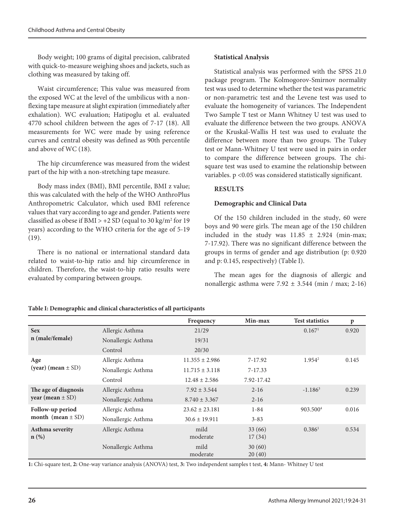Body weight; 100 grams of digital precision, calibrated with quick-to-measure weighing shoes and jackets, such as clothing was measured by taking off.

Waist circumference; This value was measured from the exposed WC at the level of the umbilicus with a nonflexing tape measure at slight expiration (immediately after exhalation). WC evaluation; Hatipoglu et al. evaluated 4770 school children between the ages of 7-17 (18). All measurements for WC were made by using reference curves and central obesity was defined as 90th percentile and above of WC (18).

The hip circumference was measured from the widest part of the hip with a non-stretching tape measure.

Body mass index (BMI), BMI percentile, BMI z value; this was calculated with the help of the WHO AnthroPlus Anthropometric Calculator, which used BMI reference values that vary according to age and gender. Patients were classified as obese if  $\text{BMI} > +2 \text{ SD}$  (equal to 30 kg/m<sup>2</sup> for 19 years) according to the WHO criteria for the age of 5-19 (19).

There is no national or international standard data related to waist-to-hip ratio and hip circumference in children. Therefore, the waist-to-hip ratio results were evaluated by comparing between groups.

## **Statistical Analysis**

Statistical analysis was performed with the SPSS 21.0 package program. The Kolmogorov-Smirnov normality test was used to determine whether the test was parametric or non-parametric test and the Levene test was used to evaluate the homogeneity of variances. The Independent Two Sample T test or Mann Whitney U test was used to evaluate the difference between the two groups. ANOVA or the Kruskal-Wallis H test was used to evaluate the difference between more than two groups. The Tukey test or Mann-Whitney U test were used in pairs in order to compare the difference between groups. The chisquare test was used to examine the relationship between variables. p <0.05 was considered statistically significant.

# **RESULTS**

# **Demographic and Clinical Data**

Of the 150 children included in the study, 60 were boys and 90 were girls. The mean age of the 150 children included in the study was  $11.85 \pm 2.924$  (min-max; 7-17.92). There was no significant difference between the groups in terms of gender and age distribution (p: 0.920 and p: 0.145, respectively) (Table I).

The mean ages for the diagnosis of allergic and nonallergic asthma were  $7.92 \pm 3.544$  (min / max; 2-16)

|                                           |                    | Frequency          | Min-max     | <b>Test statistics</b> | $\mathbf{p}$ |
|-------------------------------------------|--------------------|--------------------|-------------|------------------------|--------------|
| <b>Sex</b>                                | Allergic Asthma    | 21/29              |             | 0.167 <sup>1</sup>     | 0.920        |
| n (male/female)                           | Nonallergic Asthma | 19/31              |             |                        |              |
|                                           | Control            | 20/30              |             |                        |              |
| Age                                       | Allergic Asthma    | $11.355 \pm 2.986$ | 7-17.92     | $1.954^2$              | 0.145        |
| (year) (mean $\pm$ SD)                    | Nonallergic Asthma | $11.715 \pm 3.118$ | $7 - 17.33$ |                        |              |
|                                           | Control            | $12.48 \pm 2.586$  | 7.92-17.42  |                        |              |
| The age of diagnosis                      | Allergic Asthma    | $7.92 \pm 3.544$   | $2 - 16$    | $-1.186^3$             | 0.239        |
| year (mean $\pm$ SD)                      | Nonallergic Asthma | $8.740 \pm 3.367$  | $2 - 16$    |                        |              |
| Follow-up period<br>month (mean $\pm$ SD) | Allergic Asthma    | $23.62 \pm 23.181$ | $1 - 84$    | 903.500 <sup>4</sup>   | 0.016        |
|                                           | Nonallergic Asthma | $30.6 \pm 19.911$  | $3 - 83$    |                        |              |
| Asthma severity<br>$n(\%)$                | Allergic Asthma    | mild               | 33(66)      | 0.386 <sup>1</sup>     | 0.534        |
|                                           |                    | moderate           | 17(34)      |                        |              |
|                                           | Nonallergic Asthma | mild               | 30(60)      |                        |              |
|                                           |                    | moderate           | 20(40)      |                        |              |

**Table I: Demographic and clinical characteristics of all participants** 

**1:** Chi-square test, **2:** One-way variance analysis (ANOVA) test, **3:** Two independent samples t test, **4:** Mann- Whitney U test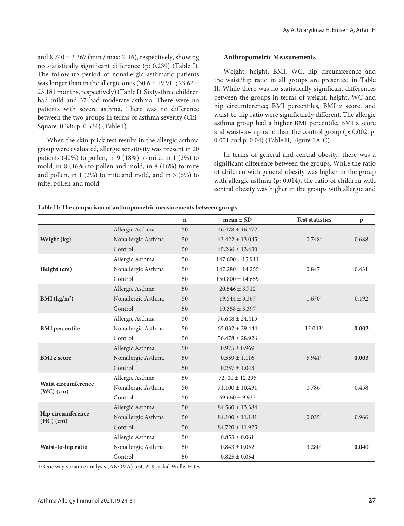and  $8.740 \pm 3.367$  (min / max; 2-16), respectively, showing no statistically significant difference (p: 0.239) (Table I). The follow-up period of nonallergic asthmatic patients was longer than in the allergic ones  $(30.6 \pm 19.911; 23.62 \pm 1)$ 23.181 months, respectively) (Table I). Sixty-three children had mild and 37 had moderate asthma. There were no patients with severe asthma. There was no difference between the two groups in terms of asthma severity (Chi-Square: 0.386 p: 0.534) (Table I).

When the skin prick test results in the allergic asthma group were evaluated, allergic sensitivity was present in 20 patients  $(40\%)$  to pollen, in 9  $(18\%)$  to mite, in 1  $(2\%)$  to mold, in 8 (16%) to pollen and mold, in 8 (16%) to mite and pollen, in 1 (2%) to mite and mold, and in 3 (6%) to mite, pollen and mold.

## **Anthropometric Measurements**

Weight, height, BMI, WC, hip circumference and the waist/hip ratio in all groups are presented in Table II. While there was no statistically significant differences between the groups in terms of weight, height, WC and hip circumference; BMI percentiles, BMI z score, and waist-to-hip ratio were significantly different. The allergic asthma group had a higher BMI percentile, BMI z score and waist-to-hip ratio than the control group (p: 0.002, p: 0.001 and p: 0.04) (Table II, Figure 1A-C).

In terms of general and central obesity, there was a significant difference between the groups. While the ratio of children with general obesity was higher in the group with allergic asthma (p: 0.014), the ratio of children with central obesity was higher in the groups with allergic and

|                                    |                    | $\mathbf n$ | $mean \pm SD$        | <b>Test statistics</b> | $\mathbf{p}$ |
|------------------------------------|--------------------|-------------|----------------------|------------------------|--------------|
| Weight (kg)                        | Allergic Asthma    | 50          | $46.478 \pm 16.472$  |                        |              |
|                                    | Nonallergic Asthma | 50          | $43.422 \pm 13.045$  | 0.748 <sup>2</sup>     | 0.688        |
|                                    | Control            | 50          | $45.266 \pm 13.430$  |                        |              |
|                                    | Allergic Asthma    | 50          | $147.600 \pm 15.911$ |                        |              |
| Height (cm)                        | Nonallergic Asthma | 50          | $147.280 \pm 14.255$ | 0.847 <sup>1</sup>     | 0.431        |
|                                    | Control            | 50          | $150.800 \pm 14.659$ |                        |              |
|                                    | Allergic Asthma    | 50          | $20.546 \pm 3.712$   |                        |              |
| BMI $(kg/m2)$                      | Nonallergic Asthma | 50          | $19.544 \pm 3.367$   | 1.670 <sup>1</sup>     | 0.192        |
|                                    | Control            | 50          | $19.358 \pm 3.397$   |                        |              |
|                                    | Allergic Asthma    | 50          | $76.648 \pm 24.415$  |                        |              |
| <b>BMI</b> percentile              | Nonallergic Asthma | 50          | $65.032 \pm 29.444$  | 13.043 <sup>2</sup>    | 0.002        |
|                                    | Control            | 50          | $56.478 \pm 28.926$  |                        |              |
|                                    | Allergic Asthma    | 50          | $0.975 \pm 0.969$    |                        |              |
| <b>BMI</b> z score                 | Nonallergic Asthma | 50          | $0.559 \pm 1.116$    | $5.941$ <sup>1</sup>   | 0.003        |
|                                    | Control            | 50          | $0.257 \pm 1.043$    |                        |              |
|                                    | Allergic Asthma    | 50          | 72.00 $\pm$ 12.295   |                        |              |
| Waist circumference<br>$(WC)$ (cm) | Nonallergic Asthma | 50          | $71.100 \pm 10.431$  | 0.786 <sup>1</sup>     | 0.458        |
|                                    | Control            | 50          | $69.660 \pm 9.933$   |                        |              |
| Hip circumference<br>$(HC)$ (cm)   | Allergic Asthma    | 50          | $84.560 \pm 13.384$  |                        |              |
|                                    | Nonallergic Asthma | 50          | $84.100 \pm 11.181$  | 0.035 <sup>1</sup>     | 0.966        |
|                                    | Control            | 50          | $84.720 \pm 11.925$  |                        |              |
|                                    | Allergic Asthma    | 50          | $0.853 \pm 0.061$    |                        |              |
| Waist-to-hip ratio                 | Nonallergic Asthma | 50          | $0.843 \pm 0.052$    | 3.280 <sup>1</sup>     | 0.040        |
|                                    | Control            | 50          | $0.825 \pm 0.054$    |                        |              |

**Table II: The comparison of anthropometric measurements between groups**

**1:** One way variance analysis (ANOVA) test, **2:** Kruskal Wallis H test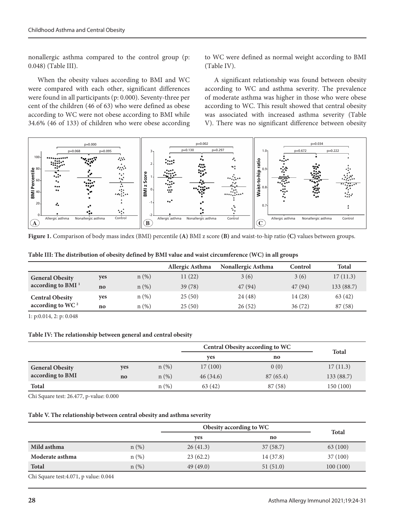nonallergic asthma compared to the control group (p: 0.048) (Table III).

When the obesity values according to BMI and WC were compared with each other, significant differences were found in all participants (p: 0.000). Seventy-three per cent of the children (46 of 63) who were defined as obese according to WC were not obese according to BMI while 34.6% (46 of 133) of children who were obese according to WC were defined as normal weight according to BMI (Table IV).

A significant relationship was found between obesity according to WC and asthma severity. The prevalence of moderate asthma was higher in those who were obese according to WC. This result showed that central obesity was associated with increased asthma severity (Table V). There was no significant difference between obesity



| Table III: The distribution of obesity defined by BMI value and waist circumference (WC) in all groups |  |  |
|--------------------------------------------------------------------------------------------------------|--|--|
|--------------------------------------------------------------------------------------------------------|--|--|

|                              |               |          | Allergic Asthma | Nonallergic Asthma | Control | <b>Total</b> |
|------------------------------|---------------|----------|-----------------|--------------------|---------|--------------|
| <b>General Obesity</b>       | yes           | $n (\%)$ | 11(22)          | 3(6)               | 3(6)    | 17(11.3)     |
| according to BMI $1$         | $\mathbf{no}$ | $n (\%)$ | 39(78)          | 47(94)             | 47(94)  | 133 (88.7)   |
| <b>Central Obesity</b>       | ves           | n(%)     | 25(50)          | 24(48)             | 14 (28) | 63(42)       |
| according to WC <sup>2</sup> | no            | n(%)     | 25(50)          | 26(52)             | 36(72)  | 87(58)       |

1: p:0.014, 2: p: 0.048

#### **Table IV: The relationship between general and central obesity**

|                        |                        |         | <b>Central Obesity according to WC</b> |          |              |  |
|------------------------|------------------------|---------|----------------------------------------|----------|--------------|--|
|                        |                        |         | <b>ves</b>                             | no       | <b>Total</b> |  |
| <b>General Obesity</b> | <b>ves</b>             | $n$ (%) | 17(100)                                | 0(0)     | 17(11.3)     |  |
| according to BMI       | $\mathbf{n}\mathbf{o}$ | $n(\%)$ | 46(34.6)                               | 87(65.4) | 133 (88.7)   |  |
| <b>Total</b>           |                        | n(%)    | 63(42)                                 | 87 (58)  | 150 (100)    |  |

Chi Square test: 26.477, p-value: 0.000

#### **Table V. The relationship between central obesity and asthma severity**

|                 |         | Obesity according to WC |           |              |  |
|-----------------|---------|-------------------------|-----------|--------------|--|
|                 |         | ves                     | no        | <b>Total</b> |  |
| Mild asthma     | $n$ (%) | 26(41.3)                | 37(58.7)  | 63 (100)     |  |
| Moderate asthma | $n(\%)$ | 23(62.2)                | 14 (37.8) | 37(100)      |  |
| <b>Total</b>    | $n(\%)$ | 49(49.0)                | 51(51.0)  | 100(100)     |  |

Chi Square test:4.071, p value: 0.044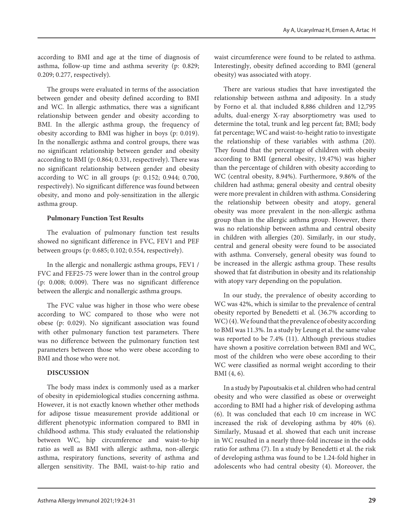according to BMI and age at the time of diagnosis of asthma, follow-up time and asthma severity (p: 0.829; 0.209; 0.277, respectively).

The groups were evaluated in terms of the association between gender and obesity defined according to BMI and WC. In allergic asthmatics, there was a significant relationship between gender and obesity according to BMI. In the allergic asthma group, the frequency of obesity according to BMI was higher in boys (p: 0.019). In the nonallergic asthma and control groups, there was no significant relationship between gender and obesity according to BMI (p: 0.864; 0.331, respectively). There was no significant relationship between gender and obesity according to WC in all groups (p: 0.152; 0.944; 0.700, respectively). No significant difference was found between obesity, and mono and poly-sensitization in the allergic asthma group.

# **Pulmonary Function Test Results**

The evaluation of pulmonary function test results showed no significant difference in FVC, FEV1 and PEF between groups (p: 0.685; 0.102; 0.554, respectively).

In the allergic and nonallergic asthma groups, FEV1 / FVC and FEF25-75 were lower than in the control group (p: 0.008; 0.009). There was no significant difference between the allergic and nonallergic asthma groups.

The FVC value was higher in those who were obese according to WC compared to those who were not obese (p: 0.029). No significant association was found with other pulmonary function test parameters. There was no difference between the pulmonary function test parameters between those who were obese according to BMI and those who were not.

# **DISCUSSION**

The body mass index is commonly used as a marker of obesity in epidemiological studies concerning asthma. However, it is not exactly known whether other methods for adipose tissue measurement provide additional or different phenotypic information compared to BMI in childhood asthma. This study evaluated the relationship between WC, hip circumference and waist-to-hip ratio as well as BMI with allergic asthma, non-allergic asthma, respiratory functions, severity of asthma and allergen sensitivity. The BMI, waist-to-hip ratio and

waist circumference were found to be related to asthma. Interestingly, obesity defined according to BMI (general obesity) was associated with atopy.

There are various studies that have investigated the relationship between asthma and adiposity. In a study by Forno et al. that included 8,886 children and 12,795 adults, dual-energy X-ray absorptiometry was used to determine the total, trunk and leg percent fat; BMI; body fat percentage; WC and waist-to-height ratio to investigate the relationship of these variables with asthma (20). They found that the percentage of children with obesity according to BMI (general obesity, 19.47%) was higher than the percentage of children with obesity according to WC (central obesity, 8.94%). Furthermore, 9.86% of the children had asthma; general obesity and central obesity were more prevalent in children with asthma. Considering the relationship between obesity and atopy, general obesity was more prevalent in the non-allergic asthma group than in the allergic asthma group. However, there was no relationship between asthma and central obesity in children with allergies (20). Similarly, in our study, central and general obesity were found to be associated with asthma. Conversely, general obesity was found to be increased in the allergic asthma group. These results showed that fat distribution in obesity and its relationship with atopy vary depending on the population.

In our study, the prevalence of obesity according to WC was 42%, which is similar to the prevalence of central obesity reported by Benedetti et al. (36.7% according to WC) (4). We found that the prevalence of obesity according to BMI was 11.3%. In a study by Leung et al. the same value was reported to be 7.4% (11). Although previous studies have shown a positive correlation between BMI and WC, most of the children who were obese according to their WC were classified as normal weight according to their BMI (4, 6).

In a study by Papoutsakis et al. children who had central obesity and who were classified as obese or overweight according to BMI had a higher risk of developing asthma (6). It was concluded that each 10 cm increase in WC increased the risk of developing asthma by 40% (6). Similarly, Musaad et al. showed that each unit increase in WC resulted in a nearly three-fold increase in the odds ratio for asthma (7). In a study by Benedetti et al. the risk of developing asthma was found to be 1.24-fold higher in adolescents who had central obesity (4). Moreover, the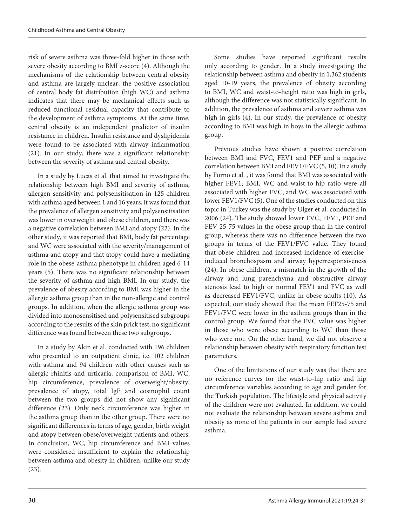risk of severe asthma was three-fold higher in those with severe obesity according to BMI z-score (4). Although the mechanisms of the relationship between central obesity and asthma are largely unclear, the positive association of central body fat distribution (high WC) and asthma indicates that there may be mechanical effects such as reduced functional residual capacity that contribute to the development of asthma symptoms. At the same time, central obesity is an independent predictor of insulin resistance in children. Insulin resistance and dyslipidemia were found to be associated with airway inflammation (21). In our study, there was a significant relationship between the severity of asthma and central obesity.

In a study by Lucas et al. that aimed to investigate the relationship between high BMI and severity of asthma, allergen sensitivity and polysensitisation in 125 children with asthma aged between 1 and 16 years, it was found that the prevalence of allergen sensitivity and polysensitisation was lower in overweight and obese children, and there was a negative correlation between BMI and atopy (22). In the other study, it was reported that BMI, body fat percentage and WC were associated with the severity/management of asthma and atopy and that atopy could have a mediating role in the obese-asthma phenotype in children aged 6-14 years (5). There was no significant relationship between the severity of asthma and high BMI. In our study, the prevalence of obesity according to BMI was higher in the allergic asthma group than in the non-allergic and control groups. In addition, when the allergic asthma group was divided into monosensitised and polysensitised subgroups according to the results of the skin prick test, no significant difference was found between these two subgroups.

In a study by Akın et al. conducted with 196 children who presented to an outpatient clinic, i.e. 102 children with asthma and 94 children with other causes such as allergic rhinitis and urticaria, comparison of BMI, WC, hip circumference, prevalence of overweight/obesity, prevalence of atopy, total IgE and eosinophil count between the two groups did not show any significant difference (23). Only neck circumference was higher in the asthma group than in the other group. There were no significant differences in terms of age, gender, birth weight and atopy between obese/overweight patients and others. In conclusion, WC, hip circumference and BMI values were considered insufficient to explain the relationship between asthma and obesity in children, unlike our study (23).

Some studies have reported significant results only according to gender. In a study investigating the relationship between asthma and obesity in 1,362 students aged 10-19 years, the prevalence of obesity according to BMI, WC and waist-to-height ratio was high in girls, although the difference was not statistically significant. In addition, the prevalence of asthma and severe asthma was high in girls (4). In our study, the prevalence of obesity according to BMI was high in boys in the allergic asthma group.

Previous studies have shown a positive correlation between BMI and FVC, FEV1 and PEF and a negative correlation between BMI and FEV1/FVC (5, 10). In a study by Forno et al. , it was found that BMI was associated with higher FEV1; BMI, WC and waist-to-hip ratio were all associated with higher FVC, and WC was associated with lower FEV1/FVC (5). One of the studies conducted on this topic in Turkey was the study by Ulger et al. conducted in 2006 (24). The study showed lower FVC, FEV1, PEF and FEV 25-75 values in the obese group than in the control group, whereas there was no difference between the two groups in terms of the FEV1/FVC value. They found that obese children had increased incidence of exerciseinduced bronchospasm and airway hyperresponsiveness (24). In obese children, a mismatch in the growth of the airway and lung parenchyma and obstructive airway stenosis lead to high or normal FEV1 and FVC as well as decreased FEV1/FVC, unlike in obese adults (10). As expected, our study showed that the mean FEF25-75 and FEV1/FVC were lower in the asthma groups than in the control group. We found that the FVC value was higher in those who were obese according to WC than those who were not. On the other hand, we did not observe a relationship between obesity with respiratory function test parameters.

One of the limitations of our study was that there are no reference curves for the waist-to-hip ratio and hip circumference variables according to age and gender for the Turkish population. The lifestyle and physical activity of the children were not evaluated. In addition, we could not evaluate the relationship between severe asthma and obesity as none of the patients in our sample had severe asthma.